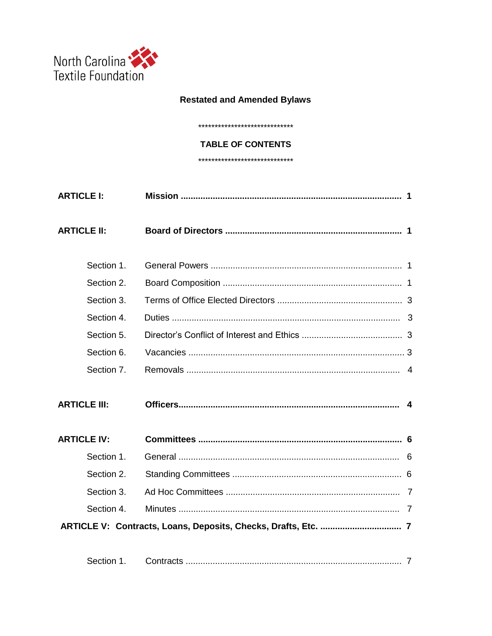

# **Restated and Amended Bylaws**

\*\*\*\*\*\*\*\*\*\*\*\*\*\*\*\*\*\*\*\*\*\*\*\*\*\*\*\*\*\*

#### **TABLE OF CONTENTS**

\*\*\*\*\*\*\*\*\*\*\*\*\*\*\*\*\*\*\*\*\*\*\*\*\*\*\*\*\*\*

| <b>ARTICLE I:</b>   |  |
|---------------------|--|
| <b>ARTICLE II:</b>  |  |
| Section 1.          |  |
| Section 2.          |  |
| Section 3.          |  |
| Section 4.          |  |
| Section 5.          |  |
| Section 6.          |  |
| Section 7.          |  |
| <b>ARTICLE III:</b> |  |
| <b>ARTICLE IV:</b>  |  |
| Section 1.          |  |
| Section 2.          |  |
| Section 3.          |  |
| Section 4.          |  |
|                     |  |
|                     |  |
| Section 1.          |  |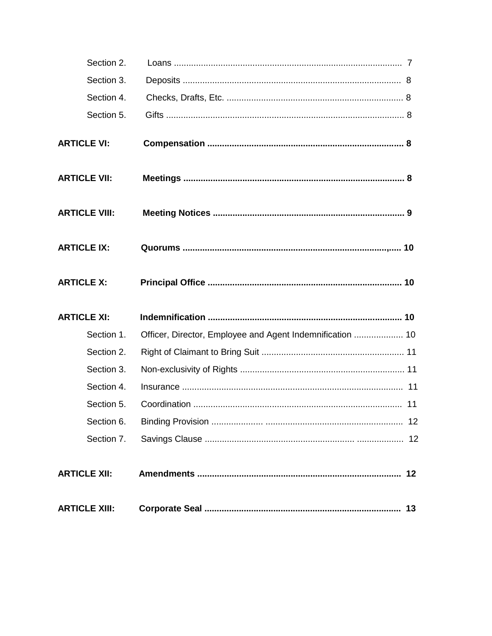| Section 2.           |                                                           |
|----------------------|-----------------------------------------------------------|
| Section 3.           |                                                           |
| Section 4.           |                                                           |
| Section 5.           |                                                           |
| <b>ARTICLE VI:</b>   |                                                           |
| <b>ARTICLE VII:</b>  |                                                           |
| <b>ARTICLE VIII:</b> |                                                           |
| <b>ARTICLE IX:</b>   |                                                           |
| <b>ARTICLE X:</b>    |                                                           |
|                      |                                                           |
| <b>ARTICLE XI:</b>   |                                                           |
| Section 1.           | Officer, Director, Employee and Agent Indemnification  10 |
| Section 2.           |                                                           |
| Section 3.           |                                                           |
| Section 4.           |                                                           |
| Section 5.           |                                                           |
| Section 6.           |                                                           |
| Section 7.           |                                                           |
| <b>ARTICLE XII:</b>  |                                                           |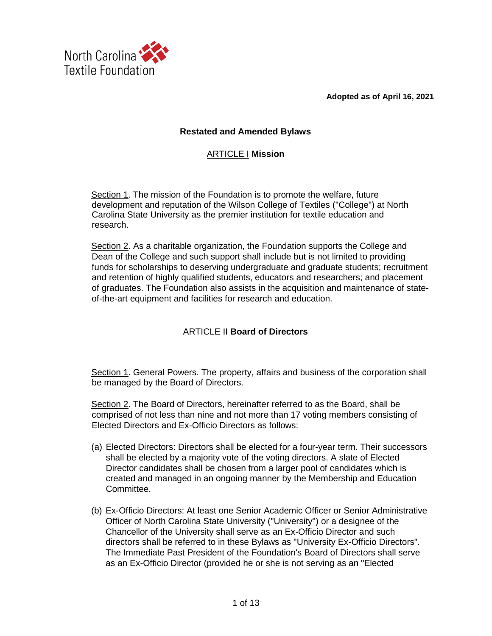**Adopted as of April 16, 2021**



## **Restated and Amended Bylaws**

## ARTICLE I **Mission**

Section 1. The mission of the Foundation is to promote the welfare, future development and reputation of the Wilson College of Textiles ("College") at North Carolina State University as the premier institution for textile education and research.

Section 2. As a charitable organization, the Foundation supports the College and Dean of the College and such support shall include but is not limited to providing funds for scholarships to deserving undergraduate and graduate students; recruitment and retention of highly qualified students, educators and researchers; and placement of graduates. The Foundation also assists in the acquisition and maintenance of stateof-the-art equipment and facilities for research and education.

# ARTICLE II **Board of Directors**

Section 1. General Powers. The property, affairs and business of the corporation shall be managed by the Board of Directors.

Section 2. The Board of Directors, hereinafter referred to as the Board, shall be comprised of not less than nine and not more than 17 voting members consisting of Elected Directors and Ex-Officio Directors as follows:

- (a) Elected Directors: Directors shall be elected for a four-year term. Their successors shall be elected by a majority vote of the voting directors. A slate of Elected Director candidates shall be chosen from a larger pool of candidates which is created and managed in an ongoing manner by the Membership and Education Committee.
- (b) Ex-Officio Directors: At least one Senior Academic Officer or Senior Administrative Officer of North Carolina State University ("University") or a designee of the Chancellor of the University shall serve as an Ex-Officio Director and such directors shall be referred to in these Bylaws as "University Ex-Officio Directors". The Immediate Past President of the Foundation's Board of Directors shall serve as an Ex-Officio Director (provided he or she is not serving as an "Elected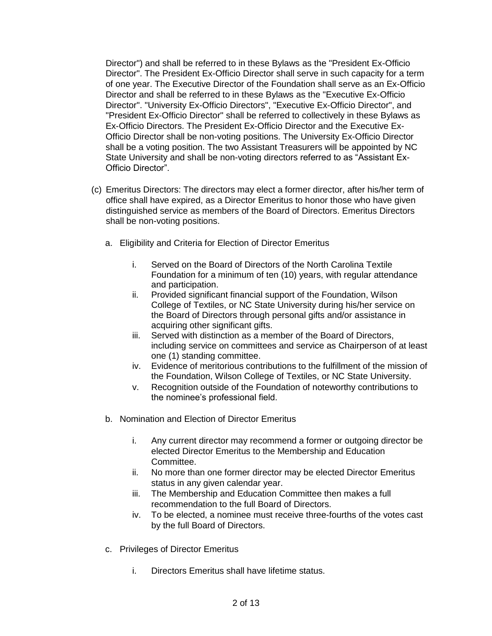Director") and shall be referred to in these Bylaws as the "President Ex-Officio Director". The President Ex-Officio Director shall serve in such capacity for a term of one year. The Executive Director of the Foundation shall serve as an Ex-Officio Director and shall be referred to in these Bylaws as the "Executive Ex-Officio Director". "University Ex-Officio Directors", "Executive Ex-Officio Director", and "President Ex-Officio Director" shall be referred to collectively in these Bylaws as Ex-Officio Directors. The President Ex-Officio Director and the Executive Ex-Officio Director shall be non-voting positions. The University Ex-Officio Director shall be a voting position. The two Assistant Treasurers will be appointed by NC State University and shall be non-voting directors referred to as "Assistant Ex-Officio Director".

- (c) Emeritus Directors: The directors may elect a former director, after his/her term of office shall have expired, as a Director Emeritus to honor those who have given distinguished service as members of the Board of Directors. Emeritus Directors shall be non-voting positions.
	- a. Eligibility and Criteria for Election of Director Emeritus
		- i. Served on the Board of Directors of the North Carolina Textile Foundation for a minimum of ten (10) years, with regular attendance and participation.
		- ii. Provided significant financial support of the Foundation, Wilson College of Textiles, or NC State University during his/her service on the Board of Directors through personal gifts and/or assistance in acquiring other significant gifts.
		- iii. Served with distinction as a member of the Board of Directors, including service on committees and service as Chairperson of at least one (1) standing committee.
		- iv. Evidence of meritorious contributions to the fulfillment of the mission of the Foundation, Wilson College of Textiles, or NC State University.
		- v. Recognition outside of the Foundation of noteworthy contributions to the nominee's professional field.
	- b. Nomination and Election of Director Emeritus
		- i. Any current director may recommend a former or outgoing director be elected Director Emeritus to the Membership and Education Committee.
		- ii. No more than one former director may be elected Director Emeritus status in any given calendar year.
		- iii. The Membership and Education Committee then makes a full recommendation to the full Board of Directors.
		- iv. To be elected, a nominee must receive three-fourths of the votes cast by the full Board of Directors.
	- c. Privileges of Director Emeritus
		- i. Directors Emeritus shall have lifetime status.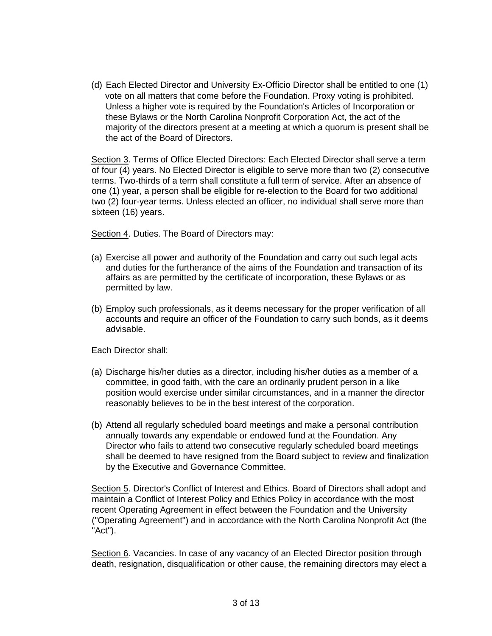(d) Each Elected Director and University Ex-Officio Director shall be entitled to one (1) vote on all matters that come before the Foundation. Proxy voting is prohibited. Unless a higher vote is required by the Foundation's Articles of Incorporation or these Bylaws or the North Carolina Nonprofit Corporation Act, the act of the majority of the directors present at a meeting at which a quorum is present shall be the act of the Board of Directors.

Section 3. Terms of Office Elected Directors: Each Elected Director shall serve a term of four (4) years. No Elected Director is eligible to serve more than two (2) consecutive terms. Two-thirds of a term shall constitute a full term of service. After an absence of one (1) year, a person shall be eligible for re-election to the Board for two additional two (2) four-year terms. Unless elected an officer, no individual shall serve more than sixteen (16) years.

Section 4. Duties. The Board of Directors may:

- (a) Exercise all power and authority of the Foundation and carry out such legal acts and duties for the furtherance of the aims of the Foundation and transaction of its affairs as are permitted by the certificate of incorporation, these Bylaws or as permitted by law.
- (b) Employ such professionals, as it deems necessary for the proper verification of all accounts and require an officer of the Foundation to carry such bonds, as it deems advisable.

Each Director shall:

- (a) Discharge his/her duties as a director, including his/her duties as a member of a committee, in good faith, with the care an ordinarily prudent person in a like position would exercise under similar circumstances, and in a manner the director reasonably believes to be in the best interest of the corporation.
- (b) Attend all regularly scheduled board meetings and make a personal contribution annually towards any expendable or endowed fund at the Foundation. Any Director who fails to attend two consecutive regularly scheduled board meetings shall be deemed to have resigned from the Board subject to review and finalization by the Executive and Governance Committee.

Section 5. Director's Conflict of Interest and Ethics. Board of Directors shall adopt and maintain a Conflict of Interest Policy and Ethics Policy in accordance with the most recent Operating Agreement in effect between the Foundation and the University ("Operating Agreement") and in accordance with the North Carolina Nonprofit Act (the "Act").

Section 6. Vacancies. In case of any vacancy of an Elected Director position through death, resignation, disqualification or other cause, the remaining directors may elect a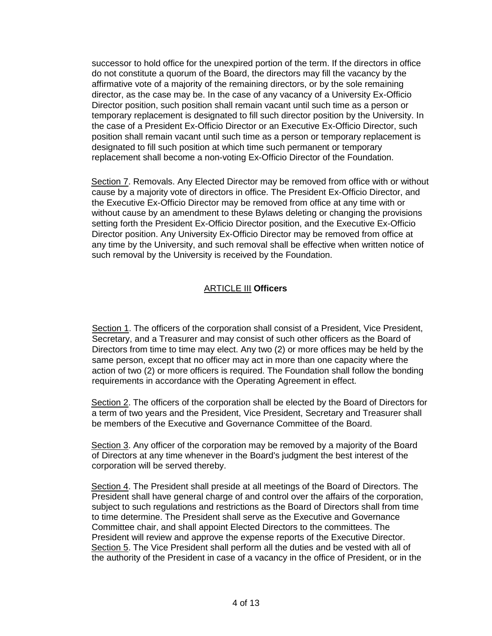successor to hold office for the unexpired portion of the term. If the directors in office do not constitute a quorum of the Board, the directors may fill the vacancy by the affirmative vote of a majority of the remaining directors, or by the sole remaining director, as the case may be. In the case of any vacancy of a University Ex-Officio Director position, such position shall remain vacant until such time as a person or temporary replacement is designated to fill such director position by the University. In the case of a President Ex-Officio Director or an Executive Ex-Officio Director, such position shall remain vacant until such time as a person or temporary replacement is designated to fill such position at which time such permanent or temporary replacement shall become a non-voting Ex-Officio Director of the Foundation.

Section 7. Removals. Any Elected Director may be removed from office with or without cause by a majority vote of directors in office. The President Ex-Officio Director, and the Executive Ex-Officio Director may be removed from office at any time with or without cause by an amendment to these Bylaws deleting or changing the provisions setting forth the President Ex-Officio Director position, and the Executive Ex-Officio Director position. Any University Ex-Officio Director may be removed from office at any time by the University, and such removal shall be effective when written notice of such removal by the University is received by the Foundation.

# ARTICLE III **Officers**

Section 1. The officers of the corporation shall consist of a President, Vice President, Secretary, and a Treasurer and may consist of such other officers as the Board of Directors from time to time may elect. Any two (2) or more offices may be held by the same person, except that no officer may act in more than one capacity where the action of two (2) or more officers is required. The Foundation shall follow the bonding requirements in accordance with the Operating Agreement in effect.

Section 2. The officers of the corporation shall be elected by the Board of Directors for a term of two years and the President, Vice President, Secretary and Treasurer shall be members of the Executive and Governance Committee of the Board.

Section 3. Any officer of the corporation may be removed by a majority of the Board of Directors at any time whenever in the Board's judgment the best interest of the corporation will be served thereby.

Section 4. The President shall preside at all meetings of the Board of Directors. The President shall have general charge of and control over the affairs of the corporation, subject to such regulations and restrictions as the Board of Directors shall from time to time determine. The President shall serve as the Executive and Governance Committee chair, and shall appoint Elected Directors to the committees. The President will review and approve the expense reports of the Executive Director. Section 5. The Vice President shall perform all the duties and be vested with all of the authority of the President in case of a vacancy in the office of President, or in the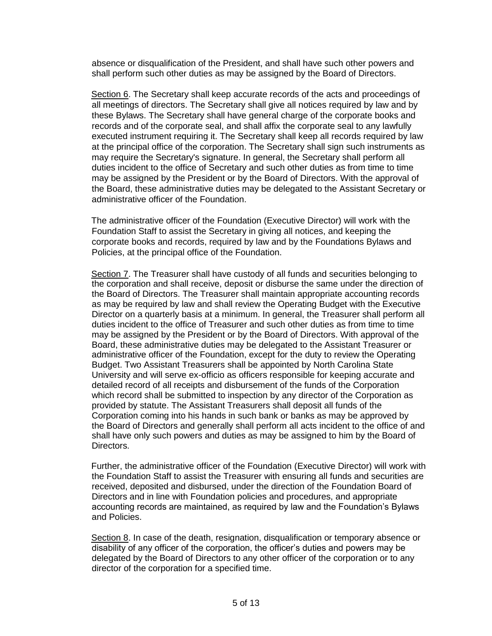absence or disqualification of the President, and shall have such other powers and shall perform such other duties as may be assigned by the Board of Directors.

Section 6. The Secretary shall keep accurate records of the acts and proceedings of all meetings of directors. The Secretary shall give all notices required by law and by these Bylaws. The Secretary shall have general charge of the corporate books and records and of the corporate seal, and shall affix the corporate seal to any lawfully executed instrument requiring it. The Secretary shall keep all records required by law at the principal office of the corporation. The Secretary shall sign such instruments as may require the Secretary's signature. In general, the Secretary shall perform all duties incident to the office of Secretary and such other duties as from time to time may be assigned by the President or by the Board of Directors. With the approval of the Board, these administrative duties may be delegated to the Assistant Secretary or administrative officer of the Foundation.

The administrative officer of the Foundation (Executive Director) will work with the Foundation Staff to assist the Secretary in giving all notices, and keeping the corporate books and records, required by law and by the Foundations Bylaws and Policies, at the principal office of the Foundation.

Section 7. The Treasurer shall have custody of all funds and securities belonging to the corporation and shall receive, deposit or disburse the same under the direction of the Board of Directors. The Treasurer shall maintain appropriate accounting records as may be required by law and shall review the Operating Budget with the Executive Director on a quarterly basis at a minimum. In general, the Treasurer shall perform all duties incident to the office of Treasurer and such other duties as from time to time may be assigned by the President or by the Board of Directors. With approval of the Board, these administrative duties may be delegated to the Assistant Treasurer or administrative officer of the Foundation, except for the duty to review the Operating Budget. Two Assistant Treasurers shall be appointed by North Carolina State University and will serve ex-officio as officers responsible for keeping accurate and detailed record of all receipts and disbursement of the funds of the Corporation which record shall be submitted to inspection by any director of the Corporation as provided by statute. The Assistant Treasurers shall deposit all funds of the Corporation coming into his hands in such bank or banks as may be approved by the Board of Directors and generally shall perform all acts incident to the office of and shall have only such powers and duties as may be assigned to him by the Board of Directors.

Further, the administrative officer of the Foundation (Executive Director) will work with the Foundation Staff to assist the Treasurer with ensuring all funds and securities are received, deposited and disbursed, under the direction of the Foundation Board of Directors and in line with Foundation policies and procedures, and appropriate accounting records are maintained, as required by law and the Foundation's Bylaws and Policies.

Section 8. In case of the death, resignation, disqualification or temporary absence or disability of any officer of the corporation, the officer's duties and powers may be delegated by the Board of Directors to any other officer of the corporation or to any director of the corporation for a specified time.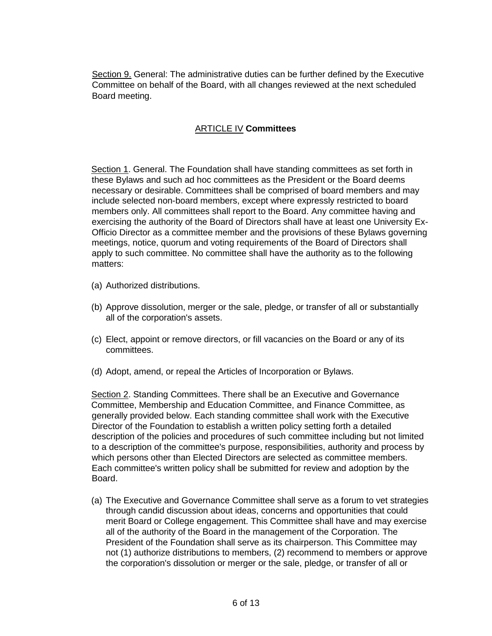Section 9. General: The administrative duties can be further defined by the Executive Committee on behalf of the Board, with all changes reviewed at the next scheduled Board meeting.

# ARTICLE IV **Committees**

Section 1. General. The Foundation shall have standing committees as set forth in these Bylaws and such ad hoc committees as the President or the Board deems necessary or desirable. Committees shall be comprised of board members and may include selected non-board members, except where expressly restricted to board members only. All committees shall report to the Board. Any committee having and exercising the authority of the Board of Directors shall have at least one University Ex-Officio Director as a committee member and the provisions of these Bylaws governing meetings, notice, quorum and voting requirements of the Board of Directors shall apply to such committee. No committee shall have the authority as to the following matters:

- (a) Authorized distributions.
- (b) Approve dissolution, merger or the sale, pledge, or transfer of all or substantially all of the corporation's assets.
- (c) Elect, appoint or remove directors, or fill vacancies on the Board or any of its committees.
- (d) Adopt, amend, or repeal the Articles of Incorporation or Bylaws.

Section 2. Standing Committees. There shall be an Executive and Governance Committee, Membership and Education Committee, and Finance Committee, as generally provided below. Each standing committee shall work with the Executive Director of the Foundation to establish a written policy setting forth a detailed description of the policies and procedures of such committee including but not limited to a description of the committee's purpose, responsibilities, authority and process by which persons other than Elected Directors are selected as committee members. Each committee's written policy shall be submitted for review and adoption by the Board.

(a) The Executive and Governance Committee shall serve as a forum to vet strategies through candid discussion about ideas, concerns and opportunities that could merit Board or College engagement. This Committee shall have and may exercise all of the authority of the Board in the management of the Corporation. The President of the Foundation shall serve as its chairperson. This Committee may not (1) authorize distributions to members, (2) recommend to members or approve the corporation's dissolution or merger or the sale, pledge, or transfer of all or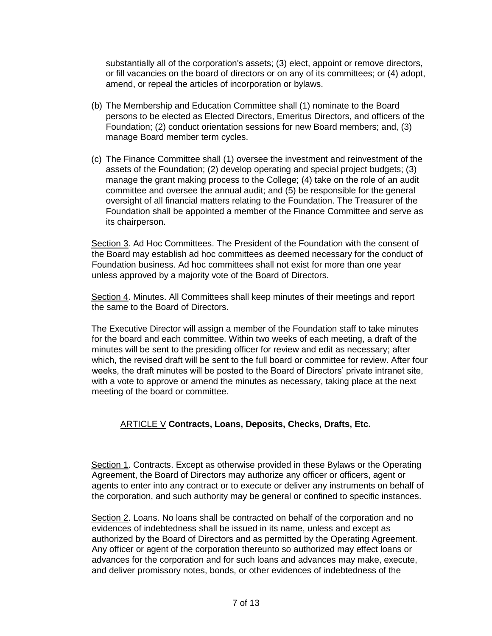substantially all of the corporation's assets; (3) elect, appoint or remove directors, or fill vacancies on the board of directors or on any of its committees; or (4) adopt, amend, or repeal the articles of incorporation or bylaws.

- (b) The Membership and Education Committee shall (1) nominate to the Board persons to be elected as Elected Directors, Emeritus Directors, and officers of the Foundation; (2) conduct orientation sessions for new Board members; and, (3) manage Board member term cycles.
- (c) The Finance Committee shall (1) oversee the investment and reinvestment of the assets of the Foundation; (2) develop operating and special project budgets; (3) manage the grant making process to the College; (4) take on the role of an audit committee and oversee the annual audit; and (5) be responsible for the general oversight of all financial matters relating to the Foundation. The Treasurer of the Foundation shall be appointed a member of the Finance Committee and serve as its chairperson.

Section 3. Ad Hoc Committees. The President of the Foundation with the consent of the Board may establish ad hoc committees as deemed necessary for the conduct of Foundation business. Ad hoc committees shall not exist for more than one year unless approved by a majority vote of the Board of Directors.

Section 4. Minutes. All Committees shall keep minutes of their meetings and report the same to the Board of Directors.

The Executive Director will assign a member of the Foundation staff to take minutes for the board and each committee. Within two weeks of each meeting, a draft of the minutes will be sent to the presiding officer for review and edit as necessary; after which, the revised draft will be sent to the full board or committee for review. After four weeks, the draft minutes will be posted to the Board of Directors' private intranet site, with a vote to approve or amend the minutes as necessary, taking place at the next meeting of the board or committee.

# ARTICLE V **Contracts, Loans, Deposits, Checks, Drafts, Etc.**

Section 1. Contracts. Except as otherwise provided in these Bylaws or the Operating Agreement, the Board of Directors may authorize any officer or officers, agent or agents to enter into any contract or to execute or deliver any instruments on behalf of the corporation, and such authority may be general or confined to specific instances.

Section 2. Loans. No loans shall be contracted on behalf of the corporation and no evidences of indebtedness shall be issued in its name, unless and except as authorized by the Board of Directors and as permitted by the Operating Agreement. Any officer or agent of the corporation thereunto so authorized may effect loans or advances for the corporation and for such loans and advances may make, execute, and deliver promissory notes, bonds, or other evidences of indebtedness of the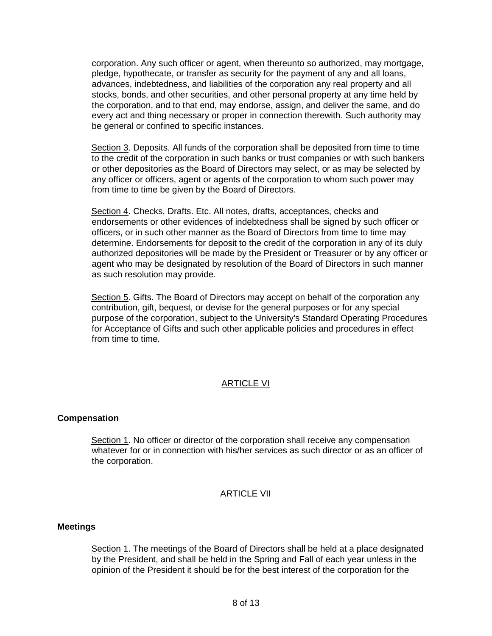corporation. Any such officer or agent, when thereunto so authorized, may mortgage, pledge, hypothecate, or transfer as security for the payment of any and all loans, advances, indebtedness, and liabilities of the corporation any real property and all stocks, bonds, and other securities, and other personal property at any time held by the corporation, and to that end, may endorse, assign, and deliver the same, and do every act and thing necessary or proper in connection therewith. Such authority may be general or confined to specific instances.

Section 3. Deposits. All funds of the corporation shall be deposited from time to time to the credit of the corporation in such banks or trust companies or with such bankers or other depositories as the Board of Directors may select, or as may be selected by any officer or officers, agent or agents of the corporation to whom such power may from time to time be given by the Board of Directors.

Section 4. Checks, Drafts. Etc. All notes, drafts, acceptances, checks and endorsements or other evidences of indebtedness shall be signed by such officer or officers, or in such other manner as the Board of Directors from time to time may determine. Endorsements for deposit to the credit of the corporation in any of its duly authorized depositories will be made by the President or Treasurer or by any officer or agent who may be designated by resolution of the Board of Directors in such manner as such resolution may provide.

Section 5. Gifts. The Board of Directors may accept on behalf of the corporation any contribution, gift, bequest, or devise for the general purposes or for any special purpose of the corporation, subject to the University's Standard Operating Procedures for Acceptance of Gifts and such other applicable policies and procedures in effect from time to time.

## ARTICLE VI

#### **Compensation**

Section 1. No officer or director of the corporation shall receive any compensation whatever for or in connection with his/her services as such director or as an officer of the corporation.

## ARTICLE VII

#### **Meetings**

Section 1. The meetings of the Board of Directors shall be held at a place designated by the President, and shall be held in the Spring and Fall of each year unless in the opinion of the President it should be for the best interest of the corporation for the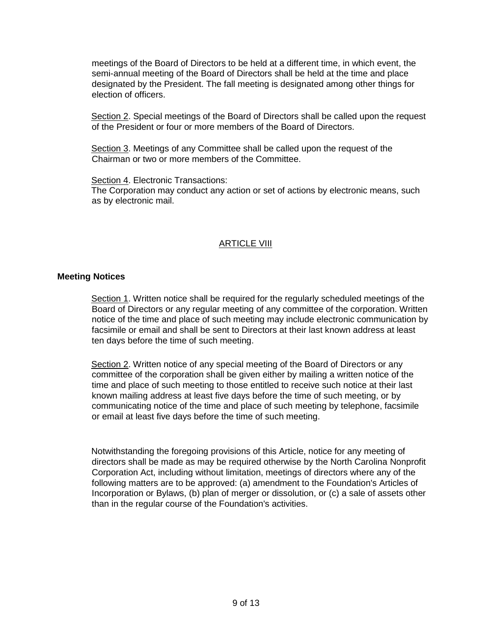meetings of the Board of Directors to be held at a different time, in which event, the semi-annual meeting of the Board of Directors shall be held at the time and place designated by the President. The fall meeting is designated among other things for election of officers.

Section 2. Special meetings of the Board of Directors shall be called upon the request of the President or four or more members of the Board of Directors.

Section 3. Meetings of any Committee shall be called upon the request of the Chairman or two or more members of the Committee.

Section 4. Electronic Transactions:

The Corporation may conduct any action or set of actions by electronic means, such as by electronic mail.

## ARTICLE VIII

#### **Meeting Notices**

Section 1. Written notice shall be required for the regularly scheduled meetings of the Board of Directors or any regular meeting of any committee of the corporation. Written notice of the time and place of such meeting may include electronic communication by facsimile or email and shall be sent to Directors at their last known address at least ten days before the time of such meeting.

Section 2. Written notice of any special meeting of the Board of Directors or any committee of the corporation shall be given either by mailing a written notice of the time and place of such meeting to those entitled to receive such notice at their last known mailing address at least five days before the time of such meeting, or by communicating notice of the time and place of such meeting by telephone, facsimile or email at least five days before the time of such meeting.

Notwithstanding the foregoing provisions of this Article, notice for any meeting of directors shall be made as may be required otherwise by the North Carolina Nonprofit Corporation Act, including without limitation, meetings of directors where any of the following matters are to be approved: (a) amendment to the Foundation's Articles of Incorporation or Bylaws, (b) plan of merger or dissolution, or (c) a sale of assets other than in the regular course of the Foundation's activities.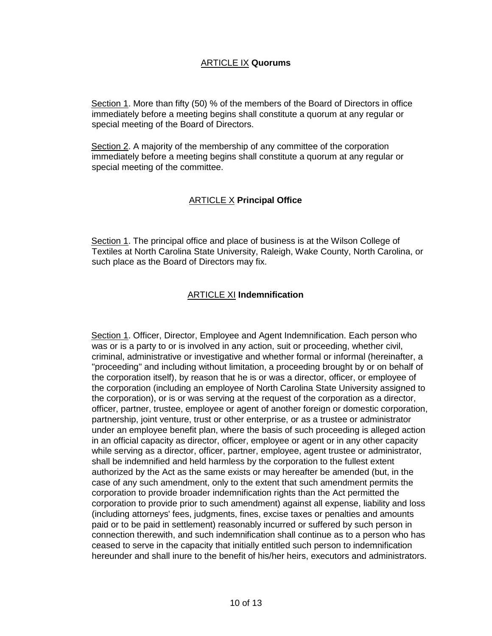Section 1. More than fifty (50) % of the members of the Board of Directors in office immediately before a meeting begins shall constitute a quorum at any regular or special meeting of the Board of Directors.

Section 2. A majority of the membership of any committee of the corporation immediately before a meeting begins shall constitute a quorum at any regular or special meeting of the committee.

# ARTICLE X **Principal Office**

Section 1. The principal office and place of business is at the Wilson College of Textiles at North Carolina State University, Raleigh, Wake County, North Carolina, or such place as the Board of Directors may fix.

# ARTICLE XI **Indemnification**

Section 1. Officer, Director, Employee and Agent Indemnification. Each person who was or is a party to or is involved in any action, suit or proceeding, whether civil, criminal, administrative or investigative and whether formal or informal (hereinafter, a "proceeding" and including without limitation, a proceeding brought by or on behalf of the corporation itself), by reason that he is or was a director, officer, or employee of the corporation (including an employee of North Carolina State University assigned to the corporation), or is or was serving at the request of the corporation as a director, officer, partner, trustee, employee or agent of another foreign or domestic corporation, partnership, joint venture, trust or other enterprise, or as a trustee or administrator under an employee benefit plan, where the basis of such proceeding is alleged action in an official capacity as director, officer, employee or agent or in any other capacity while serving as a director, officer, partner, employee, agent trustee or administrator, shall be indemnified and held harmless by the corporation to the fullest extent authorized by the Act as the same exists or may hereafter be amended (but, in the case of any such amendment, only to the extent that such amendment permits the corporation to provide broader indemnification rights than the Act permitted the corporation to provide prior to such amendment) against all expense, liability and loss (including attorneys' fees, judgments, fines, excise taxes or penalties and amounts paid or to be paid in settlement) reasonably incurred or suffered by such person in connection therewith, and such indemnification shall continue as to a person who has ceased to serve in the capacity that initially entitled such person to indemnification hereunder and shall inure to the benefit of his/her heirs, executors and administrators.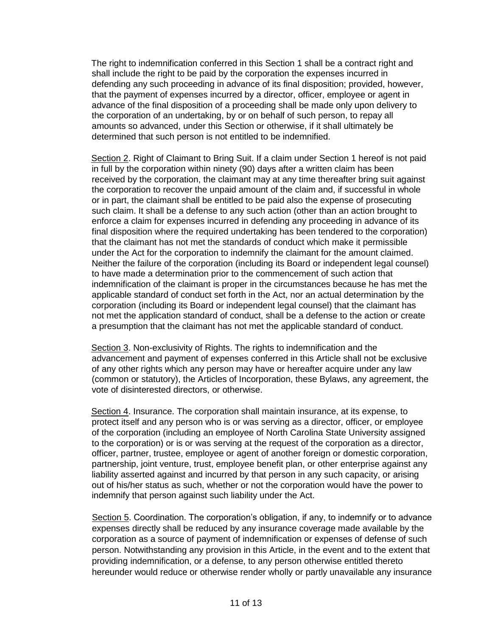The right to indemnification conferred in this Section 1 shall be a contract right and shall include the right to be paid by the corporation the expenses incurred in defending any such proceeding in advance of its final disposition; provided, however, that the payment of expenses incurred by a director, officer, employee or agent in advance of the final disposition of a proceeding shall be made only upon delivery to the corporation of an undertaking, by or on behalf of such person, to repay all amounts so advanced, under this Section or otherwise, if it shall ultimately be determined that such person is not entitled to be indemnified.

Section 2. Right of Claimant to Bring Suit. If a claim under Section 1 hereof is not paid in full by the corporation within ninety (90) days after a written claim has been received by the corporation, the claimant may at any time thereafter bring suit against the corporation to recover the unpaid amount of the claim and, if successful in whole or in part, the claimant shall be entitled to be paid also the expense of prosecuting such claim. It shall be a defense to any such action (other than an action brought to enforce a claim for expenses incurred in defending any proceeding in advance of its final disposition where the required undertaking has been tendered to the corporation) that the claimant has not met the standards of conduct which make it permissible under the Act for the corporation to indemnify the claimant for the amount claimed. Neither the failure of the corporation (including its Board or independent legal counsel) to have made a determination prior to the commencement of such action that indemnification of the claimant is proper in the circumstances because he has met the applicable standard of conduct set forth in the Act, nor an actual determination by the corporation (including its Board or independent legal counsel) that the claimant has not met the application standard of conduct, shall be a defense to the action or create a presumption that the claimant has not met the applicable standard of conduct.

Section 3. Non-exclusivity of Rights. The rights to indemnification and the advancement and payment of expenses conferred in this Article shall not be exclusive of any other rights which any person may have or hereafter acquire under any law (common or statutory), the Articles of Incorporation, these Bylaws, any agreement, the vote of disinterested directors, or otherwise.

Section 4. Insurance. The corporation shall maintain insurance, at its expense, to protect itself and any person who is or was serving as a director, officer, or employee of the corporation (including an employee of North Carolina State University assigned to the corporation) or is or was serving at the request of the corporation as a director, officer, partner, trustee, employee or agent of another foreign or domestic corporation, partnership, joint venture, trust, employee benefit plan, or other enterprise against any liability asserted against and incurred by that person in any such capacity, or arising out of his/her status as such, whether or not the corporation would have the power to indemnify that person against such liability under the Act.

Section 5. Coordination. The corporation's obligation, if any, to indemnify or to advance expenses directly shall be reduced by any insurance coverage made available by the corporation as a source of payment of indemnification or expenses of defense of such person. Notwithstanding any provision in this Article, in the event and to the extent that providing indemnification, or a defense, to any person otherwise entitled thereto hereunder would reduce or otherwise render wholly or partly unavailable any insurance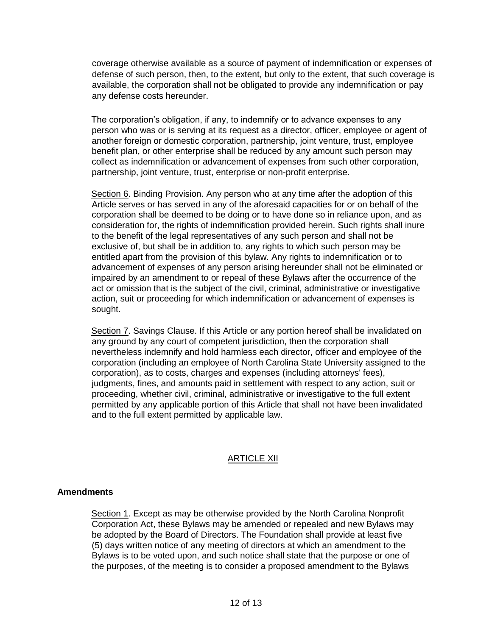coverage otherwise available as a source of payment of indemnification or expenses of defense of such person, then, to the extent, but only to the extent, that such coverage is available, the corporation shall not be obligated to provide any indemnification or pay any defense costs hereunder.

The corporation's obligation, if any, to indemnify or to advance expenses to any person who was or is serving at its request as a director, officer, employee or agent of another foreign or domestic corporation, partnership, joint venture, trust, employee benefit plan, or other enterprise shall be reduced by any amount such person may collect as indemnification or advancement of expenses from such other corporation, partnership, joint venture, trust, enterprise or non-profit enterprise.

Section 6. Binding Provision. Any person who at any time after the adoption of this Article serves or has served in any of the aforesaid capacities for or on behalf of the corporation shall be deemed to be doing or to have done so in reliance upon, and as consideration for, the rights of indemnification provided herein. Such rights shall inure to the benefit of the legal representatives of any such person and shall not be exclusive of, but shall be in addition to, any rights to which such person may be entitled apart from the provision of this bylaw. Any rights to indemnification or to advancement of expenses of any person arising hereunder shall not be eliminated or impaired by an amendment to or repeal of these Bylaws after the occurrence of the act or omission that is the subject of the civil, criminal, administrative or investigative action, suit or proceeding for which indemnification or advancement of expenses is sought.

Section 7. Savings Clause. If this Article or any portion hereof shall be invalidated on any ground by any court of competent jurisdiction, then the corporation shall nevertheless indemnify and hold harmless each director, officer and employee of the corporation (including an employee of North Carolina State University assigned to the corporation), as to costs, charges and expenses (including attorneys' fees), judgments, fines, and amounts paid in settlement with respect to any action, suit or proceeding, whether civil, criminal, administrative or investigative to the full extent permitted by any applicable portion of this Article that shall not have been invalidated and to the full extent permitted by applicable law.

# ARTICLE XII

## **Amendments**

Section 1. Except as may be otherwise provided by the North Carolina Nonprofit Corporation Act, these Bylaws may be amended or repealed and new Bylaws may be adopted by the Board of Directors. The Foundation shall provide at least five (5) days written notice of any meeting of directors at which an amendment to the Bylaws is to be voted upon, and such notice shall state that the purpose or one of the purposes, of the meeting is to consider a proposed amendment to the Bylaws